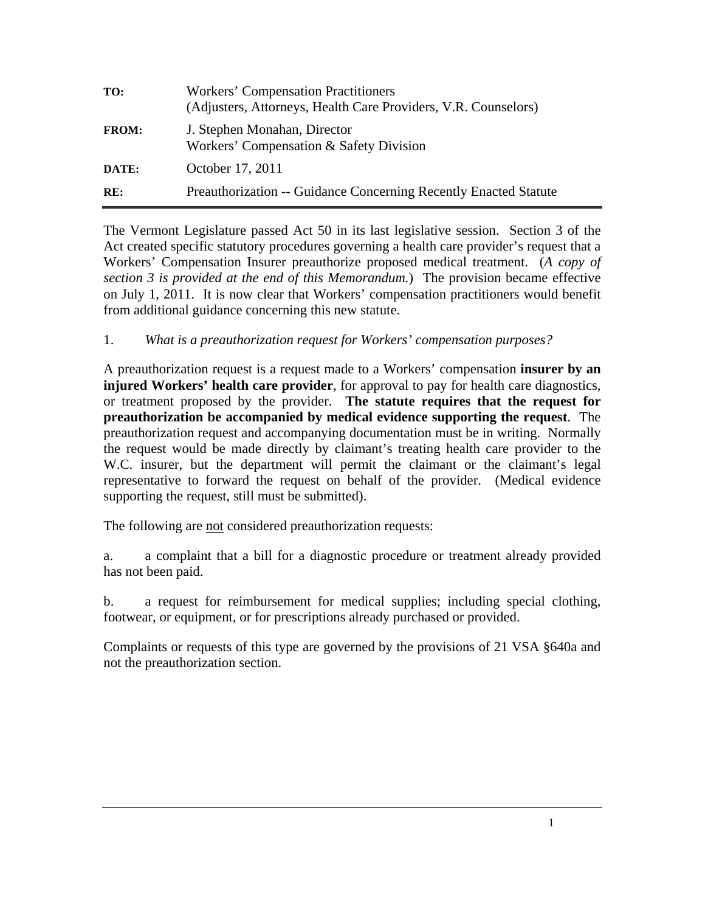| TO:          | <b>Workers' Compensation Practitioners</b><br>(Adjusters, Attorneys, Health Care Providers, V.R. Counselors) |
|--------------|--------------------------------------------------------------------------------------------------------------|
| <b>FROM:</b> | J. Stephen Monahan, Director<br>Workers' Compensation & Safety Division                                      |
| DATE:        | October 17, 2011                                                                                             |
| RE:          | <b>Preauthorization -- Guidance Concerning Recently Enacted Statute</b>                                      |

The Vermont Legislature passed Act 50 in its last legislative session. Section 3 of the Act created specific statutory procedures governing a health care provider's request that a Workers' Compensation Insurer preauthorize proposed medical treatment. (*A copy of section 3 is provided at the end of this Memorandum.*) The provision became effective on July 1, 2011. It is now clear that Workers' compensation practitioners would benefit from additional guidance concerning this new statute.

## 1. *What is a preauthorization request for Workers' compensation purposes?*

A preauthorization request is a request made to a Workers' compensation **insurer by an injured Workers' health care provider**, for approval to pay for health care diagnostics, or treatment proposed by the provider. **The statute requires that the request for preauthorization be accompanied by medical evidence supporting the request**. The preauthorization request and accompanying documentation must be in writing. Normally the request would be made directly by claimant's treating health care provider to the W.C. insurer, but the department will permit the claimant or the claimant's legal representative to forward the request on behalf of the provider. (Medical evidence supporting the request, still must be submitted).

The following are not considered preauthorization requests:

a. a complaint that a bill for a diagnostic procedure or treatment already provided has not been paid.

b. a request for reimbursement for medical supplies; including special clothing, footwear, or equipment, or for prescriptions already purchased or provided.

Complaints or requests of this type are governed by the provisions of 21 VSA §640a and not the preauthorization section.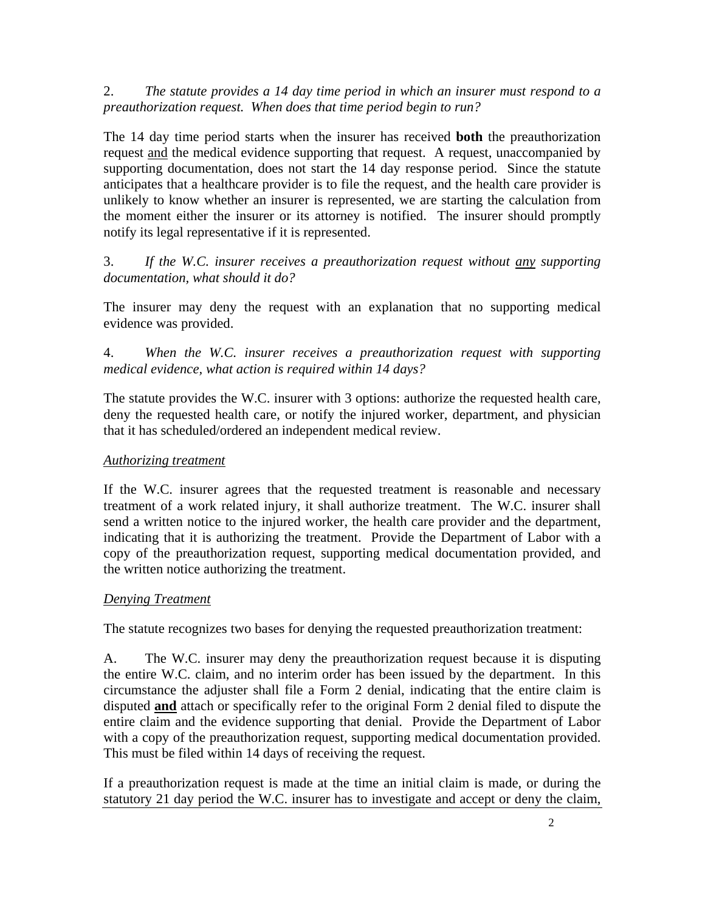2. *The statute provides a 14 day time period in which an insurer must respond to a preauthorization request. When does that time period begin to run?*

The 14 day time period starts when the insurer has received **both** the preauthorization request and the medical evidence supporting that request. A request, unaccompanied by supporting documentation, does not start the 14 day response period. Since the statute anticipates that a healthcare provider is to file the request, and the health care provider is unlikely to know whether an insurer is represented, we are starting the calculation from the moment either the insurer or its attorney is notified. The insurer should promptly notify its legal representative if it is represented.

3. *If the W.C. insurer receives a preauthorization request without any supporting documentation, what should it do?*

The insurer may deny the request with an explanation that no supporting medical evidence was provided.

4. *When the W.C. insurer receives a preauthorization request with supporting medical evidence, what action is required within 14 days?*

The statute provides the W.C. insurer with 3 options: authorize the requested health care, deny the requested health care, or notify the injured worker, department, and physician that it has scheduled/ordered an independent medical review.

## *Authorizing treatment*

If the W.C. insurer agrees that the requested treatment is reasonable and necessary treatment of a work related injury, it shall authorize treatment. The W.C. insurer shall send a written notice to the injured worker, the health care provider and the department, indicating that it is authorizing the treatment. Provide the Department of Labor with a copy of the preauthorization request, supporting medical documentation provided, and the written notice authorizing the treatment.

## *Denying Treatment*

The statute recognizes two bases for denying the requested preauthorization treatment:

A. The W.C. insurer may deny the preauthorization request because it is disputing the entire W.C. claim, and no interim order has been issued by the department. In this circumstance the adjuster shall file a Form 2 denial, indicating that the entire claim is disputed **and** attach or specifically refer to the original Form 2 denial filed to dispute the entire claim and the evidence supporting that denial. Provide the Department of Labor with a copy of the preauthorization request, supporting medical documentation provided. This must be filed within 14 days of receiving the request.

If a preauthorization request is made at the time an initial claim is made, or during the statutory 21 day period the W.C. insurer has to investigate and accept or deny the claim,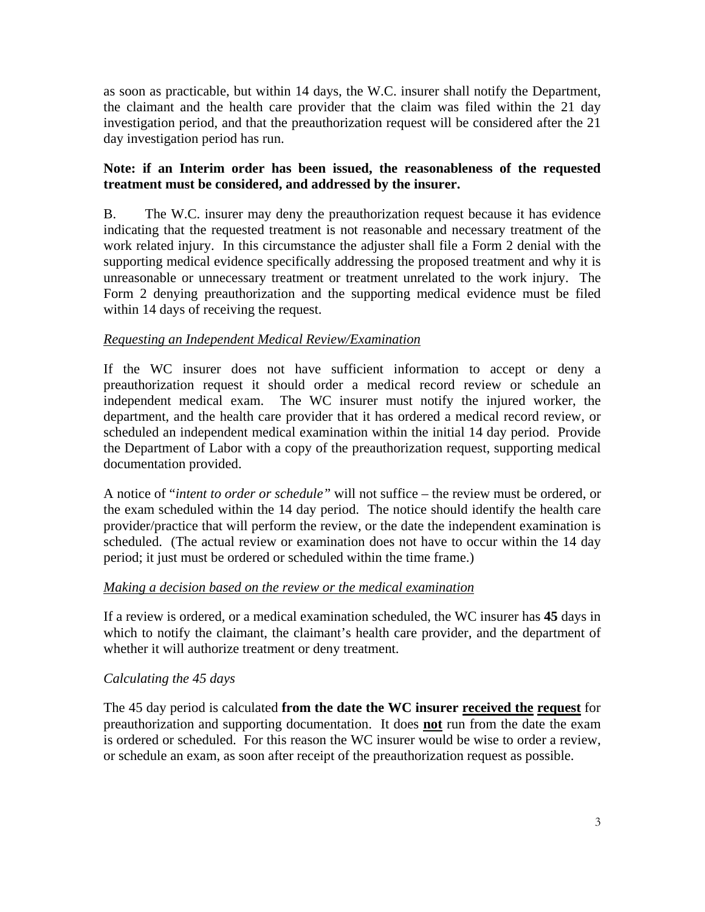as soon as practicable, but within 14 days, the W.C. insurer shall notify the Department, the claimant and the health care provider that the claim was filed within the 21 day investigation period, and that the preauthorization request will be considered after the 21 day investigation period has run.

## **Note: if an Interim order has been issued, the reasonableness of the requested treatment must be considered, and addressed by the insurer.**

B. The W.C. insurer may deny the preauthorization request because it has evidence indicating that the requested treatment is not reasonable and necessary treatment of the work related injury. In this circumstance the adjuster shall file a Form 2 denial with the supporting medical evidence specifically addressing the proposed treatment and why it is unreasonable or unnecessary treatment or treatment unrelated to the work injury. The Form 2 denying preauthorization and the supporting medical evidence must be filed within 14 days of receiving the request.

## *Requesting an Independent Medical Review/Examination*

If the WC insurer does not have sufficient information to accept or deny a preauthorization request it should order a medical record review or schedule an independent medical exam. The WC insurer must notify the injured worker, the department, and the health care provider that it has ordered a medical record review, or scheduled an independent medical examination within the initial 14 day period. Provide the Department of Labor with a copy of the preauthorization request, supporting medical documentation provided.

A notice of "*intent to order or schedule"* will not suffice – the review must be ordered, or the exam scheduled within the 14 day period. The notice should identify the health care provider/practice that will perform the review, or the date the independent examination is scheduled. (The actual review or examination does not have to occur within the 14 day period; it just must be ordered or scheduled within the time frame.)

#### *Making a decision based on the review or the medical examination*

If a review is ordered, or a medical examination scheduled, the WC insurer has **45** days in which to notify the claimant, the claimant's health care provider, and the department of whether it will authorize treatment or deny treatment.

## *Calculating the 45 days*

The 45 day period is calculated **from the date the WC insurer received the request** for preauthorization and supporting documentation. It does **not** run from the date the exam is ordered or scheduled. For this reason the WC insurer would be wise to order a review, or schedule an exam, as soon after receipt of the preauthorization request as possible.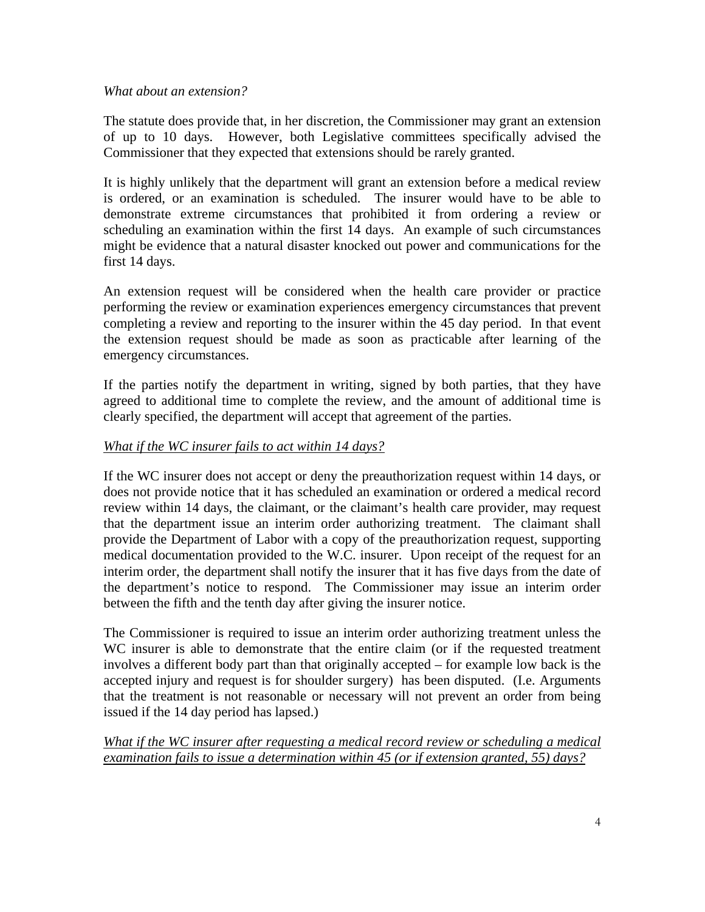#### *What about an extension?*

The statute does provide that, in her discretion, the Commissioner may grant an extension of up to 10 days. However, both Legislative committees specifically advised the Commissioner that they expected that extensions should be rarely granted.

It is highly unlikely that the department will grant an extension before a medical review is ordered, or an examination is scheduled. The insurer would have to be able to demonstrate extreme circumstances that prohibited it from ordering a review or scheduling an examination within the first 14 days. An example of such circumstances might be evidence that a natural disaster knocked out power and communications for the first 14 days.

An extension request will be considered when the health care provider or practice performing the review or examination experiences emergency circumstances that prevent completing a review and reporting to the insurer within the 45 day period. In that event the extension request should be made as soon as practicable after learning of the emergency circumstances.

If the parties notify the department in writing, signed by both parties, that they have agreed to additional time to complete the review, and the amount of additional time is clearly specified, the department will accept that agreement of the parties.

#### *What if the WC insurer fails to act within 14 days?*

If the WC insurer does not accept or deny the preauthorization request within 14 days, or does not provide notice that it has scheduled an examination or ordered a medical record review within 14 days, the claimant, or the claimant's health care provider, may request that the department issue an interim order authorizing treatment. The claimant shall provide the Department of Labor with a copy of the preauthorization request, supporting medical documentation provided to the W.C. insurer. Upon receipt of the request for an interim order, the department shall notify the insurer that it has five days from the date of the department's notice to respond. The Commissioner may issue an interim order between the fifth and the tenth day after giving the insurer notice.

The Commissioner is required to issue an interim order authorizing treatment unless the WC insurer is able to demonstrate that the entire claim (or if the requested treatment involves a different body part than that originally accepted – for example low back is the accepted injury and request is for shoulder surgery) has been disputed. (I.e. Arguments that the treatment is not reasonable or necessary will not prevent an order from being issued if the 14 day period has lapsed.)

*What if the WC insurer after requesting a medical record review or scheduling a medical examination fails to issue a determination within 45 (or if extension granted, 55) days?*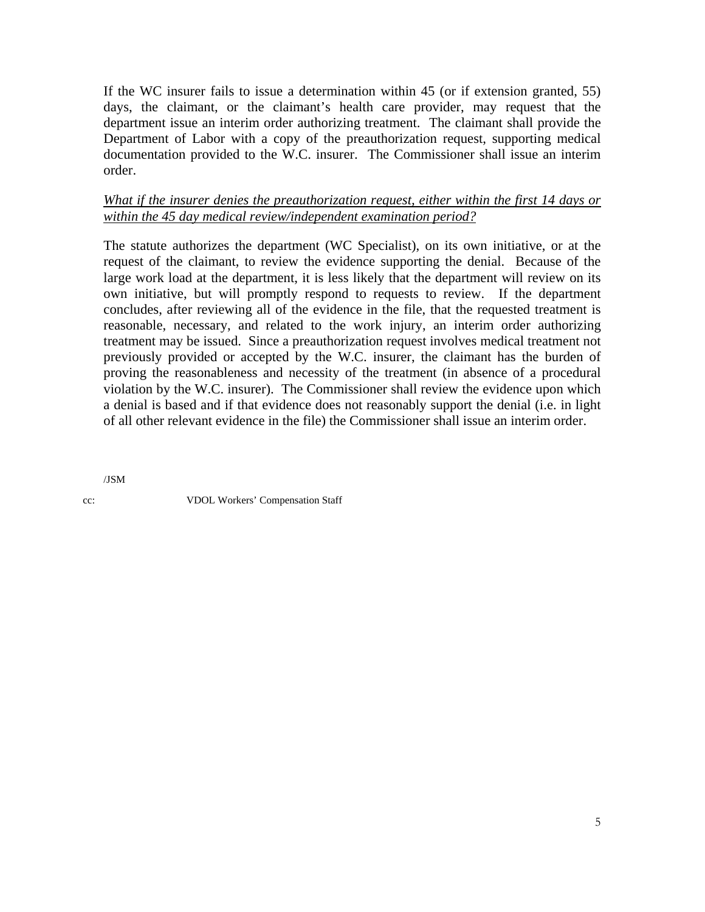If the WC insurer fails to issue a determination within 45 (or if extension granted, 55) days, the claimant, or the claimant's health care provider, may request that the department issue an interim order authorizing treatment. The claimant shall provide the Department of Labor with a copy of the preauthorization request, supporting medical documentation provided to the W.C. insurer. The Commissioner shall issue an interim order.

#### *What if the insurer denies the preauthorization request, either within the first 14 days or within the 45 day medical review/independent examination period?*

The statute authorizes the department (WC Specialist), on its own initiative, or at the request of the claimant, to review the evidence supporting the denial. Because of the large work load at the department, it is less likely that the department will review on its own initiative, but will promptly respond to requests to review. If the department concludes, after reviewing all of the evidence in the file, that the requested treatment is reasonable, necessary, and related to the work injury, an interim order authorizing treatment may be issued. Since a preauthorization request involves medical treatment not previously provided or accepted by the W.C. insurer, the claimant has the burden of proving the reasonableness and necessity of the treatment (in absence of a procedural violation by the W.C. insurer). The Commissioner shall review the evidence upon which a denial is based and if that evidence does not reasonably support the denial (i.e. in light of all other relevant evidence in the file) the Commissioner shall issue an interim order.

/JSM

cc: VDOL Workers' Compensation Staff